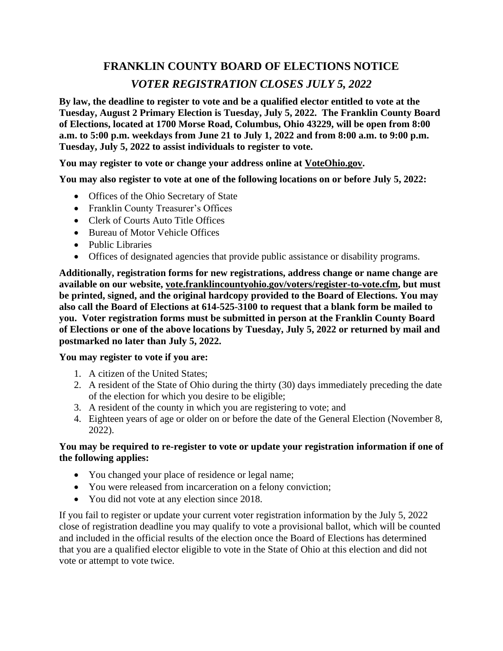# **FRANKLIN COUNTY BOARD OF ELECTIONS NOTICE** *VOTER REGISTRATION CLOSES JULY 5, 2022*

**By law, the deadline to register to vote and be a qualified elector entitled to vote at the Tuesday, August 2 Primary Election is Tuesday, July 5, 2022. The Franklin County Board of Elections, located at 1700 Morse Road, Columbus, Ohio 43229, will be open from 8:00 a.m. to 5:00 p.m. weekdays from June 21 to July 1, 2022 and from 8:00 a.m. to 9:00 p.m. Tuesday, July 5, 2022 to assist individuals to register to vote.**

### **You may register to vote or change your address online at VoteOhio.gov.**

**You may also register to vote at one of the following locations on or before July 5, 2022:**

- Offices of the Ohio Secretary of State
- Franklin County Treasurer's Offices
- Clerk of Courts Auto Title Offices
- Bureau of Motor Vehicle Offices
- Public Libraries
- Offices of designated agencies that provide public assistance or disability programs.

**Additionally, registration forms for new registrations, address change or name change are available on our website, vote.franklincountyohio.gov/voters/register-to-vote.cfm, but must be printed, signed, and the original hardcopy provided to the Board of Elections. You may also call the Board of Elections at 614-525-3100 to request that a blank form be mailed to you. Voter registration forms must be submitted in person at the Franklin County Board of Elections or one of the above locations by Tuesday, July 5, 2022 or returned by mail and postmarked no later than July 5, 2022.**

### **You may register to vote if you are:**

- 1. A citizen of the United States;
- 2. A resident of the State of Ohio during the thirty (30) days immediately preceding the date of the election for which you desire to be eligible;
- 3. A resident of the county in which you are registering to vote; and
- 4. Eighteen years of age or older on or before the date of the General Election (November 8, 2022).

#### **You may be required to re-register to vote or update your registration information if one of the following applies:**

- You changed your place of residence or legal name;
- You were released from incarceration on a felony conviction;
- You did not vote at any election since 2018.

If you fail to register or update your current voter registration information by the July 5, 2022 close of registration deadline you may qualify to vote a provisional ballot, which will be counted and included in the official results of the election once the Board of Elections has determined that you are a qualified elector eligible to vote in the State of Ohio at this election and did not vote or attempt to vote twice.